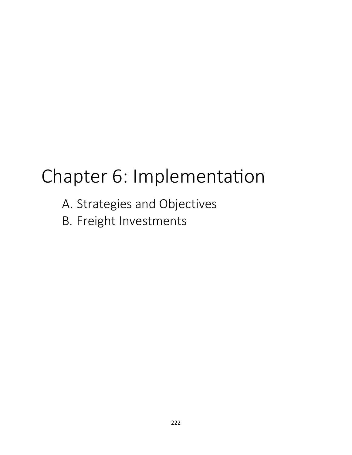# Chapter 6: Implementation

- A. Strategies and Objectives
- B. Freight Investments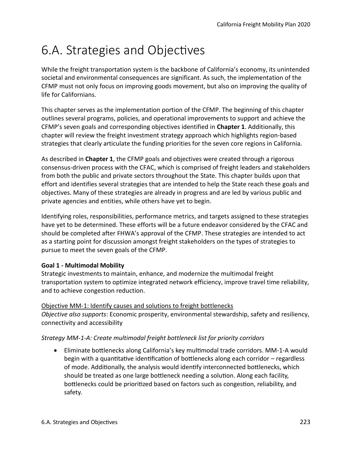# 6.A. Strategies and Objectves

While the freight transportation system is the backbone of California's economy, its unintended societal and environmental consequences are significant. As such, the implementation of the CFMP must not only focus on improving goods movement, but also on improving the quality of life for Californians.

This chapter serves as the implementation portion of the CFMP. The beginning of this chapter outlines several programs, policies, and operational improvements to support and achieve the CFMP's seven goals and corresponding objectives identified in **Chapter 1**. Additionally, this chapter will review the freight investment strategy approach which highlights region-based strategies that clearly articulate the funding priorities for the seven core regions in California.

As described in **Chapter 1**, the CFMP goals and objectives were created through a rigorous consensus-driven process with the CFAC, which is comprised of freight leaders and stakeholders from both the public and private sectors throughout the State. This chapter builds upon that effort and identifies several strategies that are intended to help the State reach these goals and objectives. Many of these strategies are already in progress and are led by various public and private agencies and entities, while others have yet to begin.

Identifying roles, responsibilities, performance metrics, and targets assigned to these strategies have yet to be determined. These efforts will be a future endeavor considered by the CFAC and should be completed after FHWA's approval of the CFMP. These strategies are intended to act as a starting point for discussion amongst freight stakeholders on the types of strategies to pursue to meet the seven goals of the CFMP.

# **Goal 1 - Multimodal Mobility**

Strategic investments to maintain, enhance, and modernize the multimodal freight transportation system to optimize integrated network efficiency, improve travel time reliability, and to achieve congestion reduction.

#### Objective MM-1: Identify causes and solutions to freight bottlenecks

*Objective also supports*: Economic prosperity, environmental stewardship, safety and resiliency, connectivity and accessibility

# *Strategy MM-1-A: Create multimodal freight bottleneck list for priority corridors*

• Eliminate bottlenecks along California's key multimodal trade corridors. MM-1-A would begin with a quantitative identification of bottlenecks along each corridor – regardless of mode. Additionally, the analysis would identify interconnected bottlenecks, which should be treated as one large botleneck needing a soluton. Along each facility, botlenecks could be prioritzed based on factors such as congeston, reliability, and safety.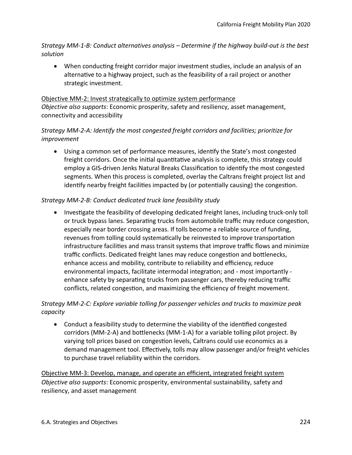*Strategy MM-1-B: Conduct alternatives analysis – Determine if the highway build-out is the best solution* 

• When conducting freight corridor major investment studies, include an analysis of an alternative to a highway project, such as the feasibility of a rail project or another strategic investment.

#### Objective MM-2: Invest strategically to optimize system performance *Objective also supports*: Economic prosperity, safety and resiliency, asset management, connectivity and accessibility

#### *Strategy MM-2-A: Identify the most congested freight corridors and facilities; prioritize for improvement*

• Using a common set of performance measures, identfy the State's most congested freight corridors. Once the initial quantitative analysis is complete, this strategy could employ a GIS-driven Jenks Natural Breaks Classification to identify the most congested segments. When this process is completed, overlay the Caltrans freight project list and identfy nearby freight facilites impacted by (or potentally causing) the congeston.

#### *Strategy MM-2-B: Conduct dedicated truck lane feasibility study*

• Investigate the feasibility of developing dedicated freight lanes, including truck-only toll or truck bypass lanes. Separating trucks from automobile traffic may reduce congestion, especially near border crossing areas. If tolls become a reliable source of funding, revenues from tolling could systematically be reinvested to improve transportation infrastructure facilities and mass transit systems that improve traffic flows and minimize traffic conflicts. Dedicated freight lanes may reduce congestion and bottlenecks, enhance access and mobility, contribute to reliability and efficiency, reduce environmental impacts, facilitate intermodal integraton; and - most importantly enhance safety by separating trucks from passenger cars, thereby reducing traffic conflicts, related congestion, and maximizing the efficiency of freight movement.

#### *Strategy MM-2-C: Explore variable tolling for passenger vehicles and trucks to maximize peak capacity*

• Conduct a feasibility study to determine the viability of the identified congested corridors (MM-2-A) and bottlenecks (MM-1-A) for a variable tolling pilot project. By varying toll prices based on congestion levels, Caltrans could use economics as a demand management tool. Effectively, tolls may allow passenger and/or freight vehicles to purchase travel reliability within the corridors.

Objective MM-3: Develop, manage, and operate an effcient, integrated freight system *Objective also supports*: Economic prosperity, environmental sustainability, safety and resiliency, and asset management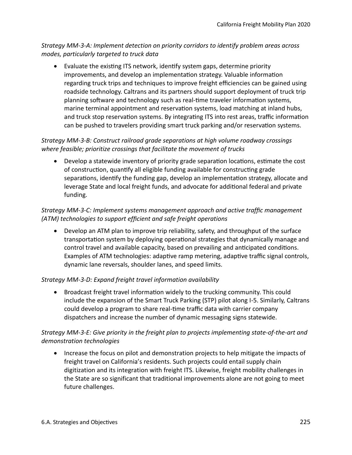*Strategy MM-3-A: Implement detection on priority corridors to identify problem areas across modes, particularly targeted to truck data* 

• Evaluate the existing ITS network, identify system gaps, determine priority improvements, and develop an implementaton strategy. Valuable informaton regarding truck trips and techniques to improve freight efficiencies can be gained using roadside technology. Caltrans and its partners should support deployment of truck trip planning software and technology such as real-time traveler information systems, marine terminal appointment and reservaton systems, load matching at inland hubs, and truck stop reservation systems. By integrating ITS into rest areas, traffic information can be pushed to travelers providing smart truck parking and/or reservation systems.

# *Strategy MM-3-B: Construct railroad grade separations at high volume roadway crossings where feasible; prioritize crossings that facilitate the movement of trucks*

• Develop a statewide inventory of priority grade separation locations, estimate the cost of constructon, quantfy all eligible funding available for constructng grade separations, identify the funding gap, develop an implementation strategy, allocate and leverage State and local freight funds, and advocate for additional federal and private funding.

# *Strategy MM-3-C: Implement systems management approach and active traffic management (ATM) technologies to support efficient and safe freight operations*

• Develop an ATM plan to improve trip reliability, safety, and throughput of the surface transportation system by deploying operational strategies that dynamically manage and control travel and available capacity, based on prevailing and antcipated conditons. Examples of ATM technologies: adaptive ramp metering, adaptive traffic signal controls, dynamic lane reversals, shoulder lanes, and speed limits.

# *Strategy MM-3-D: Expand freight travel information availability*

• Broadcast freight travel information widely to the trucking community. This could include the expansion of the Smart Truck Parking (STP) pilot along I-5. Similarly, Caltrans could develop a program to share real-time traffic data with carrier company dispatchers and increase the number of dynamic messaging signs statewide.

#### *Strategy MM-3-E: Give priority in the freight plan to projects implementing state-of-the-art and demonstration technologies*

• Increase the focus on pilot and demonstration projects to help mitigate the impacts of freight travel on California's residents. Such projects could entail supply chain digitization and its integration with freight ITS. Likewise, freight mobility challenges in the State are so significant that traditional improvements alone are not going to meet future challenges.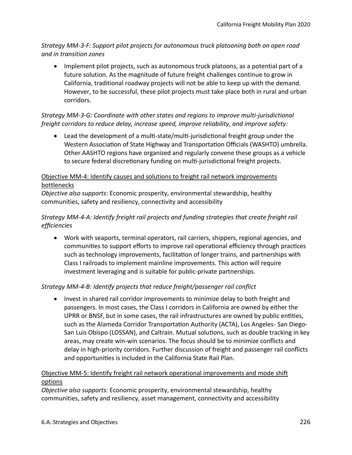*Strategy MM-3-F: Support pilot projects for autonomous truck platooning both on open road and in transition zones* 

• Implement pilot projects, such as autonomous truck platoons, as a potential part of a future solution. As the magnitude of future freight challenges continue to grow in California, traditional roadway projects will not be able to keep up with the demand. However, to be successful, these pilot projects must take place both in rural and urban corridors.

#### *Strategy MM-3-G: Coordinate with other states and regions to improve multi-jurisdictional freight corridors to reduce delay, increase speed, improve reliability, and improve safety:*

• Lead the development of a multi-state/multi-jurisdictional freight group under the Western Association of State Highway and Transportation Officials (WASHTO) umbrella. Other AASHTO regions have organized and regularly convene these groups as a vehicle to secure federal discretionary funding on multi-jurisdictional freight projects.

### Objective MM-4: Identify causes and solutions to freight rail network improvements bottlenecks

*Objective also supports*: Economic prosperity, environmental stewardship, healthy communities, safety and resiliency, connectivity and accessibility

### *Strategy MM-4-A: Identify freight rail projects and funding strategies that create freight rail efficiencies*

• Work with seaports, terminal operators, rail carriers, shippers, regional agencies, and communities to support efforts to improve rail operational efficiency through practices such as technology improvements, facilitaton of longer trains, and partnerships with Class I railroads to implement mainline improvements. This action will require investment leveraging and is suitable for public-private partnerships.

# *Strategy MM-4-B: Identify projects that reduce freight/passenger rail conflict*

• Invest in shared rail corridor improvements to minimize delay to both freight and passengers. In most cases, the Class I corridors in California are owned by either the UPRR or BNSF, but in some cases, the rail infrastructures are owned by public entities, such as the Alameda Corridor Transportaton Authority (ACTA), Los Angeles- San Diego-San Luis Obispo (LOSSAN), and Caltrain. Mutual solutions, such as double tracking in key areas, may create win-win scenarios. The focus should be to minimize conficts and delay in high-priority corridors. Further discussion of freight and passenger rail conficts and opportunites is included in the California State Rail Plan.

# Objective MM-5: Identify freight rail network operational improvements and mode shift options

*Objective also supports:* Economic prosperity, environmental stewardship, healthy communities, safety and resiliency, asset management, connectivity and accessibility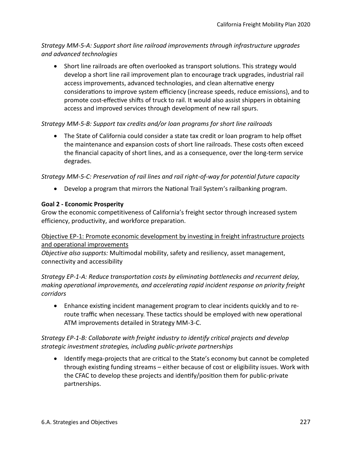*Strategy MM-5-A: Support short line railroad improvements through infrastructure upgrades and advanced technologies* 

• Short line railroads are often overlooked as transport solutions. This strategy would develop a short line rail improvement plan to encourage track upgrades, industrial rail access improvements, advanced technologies, and clean alternative energy considerations to improve system efficiency (increase speeds, reduce emissions), and to promote cost-effective shifts of truck to rail. It would also assist shippers in obtaining access and improved services through development of new rail spurs.

#### *Strategy MM-5-B: Support tax credits and/or loan programs for short line railroads*

• The State of California could consider a state tax credit or loan program to help offset the maintenance and expansion costs of short line railroads. These costs ofen exceed the fnancial capacity of short lines, and as a consequence, over the long-term service degrades.

#### *Strategy MM-5-C: Preservation of rail lines and rail right-of-way for potential future capacity*

• Develop a program that mirrors the Natonal Trail System's railbanking program.

#### **Goal 2 - Economic Prosperity**

Grow the economic competitiveness of California's freight sector through increased system efficiency, productivity, and workforce preparation.

#### Objective EP-1: Promote economic development by investing in freight infrastructure projects and operational improvements

*Objective also supports:* Multimodal mobility, safety and resiliency, asset management, connectivity and accessibility

*Strategy EP-1-A: Reduce transportation costs by eliminating bottlenecks and recurrent delay, making operational improvements, and accelerating rapid incident response on priority freight corridors* 

• Enhance existng incident management program to clear incidents quickly and to reroute traffic when necessary. These tactics should be employed with new operational ATM improvements detailed in Strategy MM-3-C.

#### *Strategy EP-1-B: Collaborate with freight industry to identify critical projects and develop strategic investment strategies, including public-private partnerships*

• Identify mega-projects that are critical to the State's economy but cannot be completed through existng funding streams – either because of cost or eligibility issues. Work with the CFAC to develop these projects and identfy/positon them for public-private partnerships.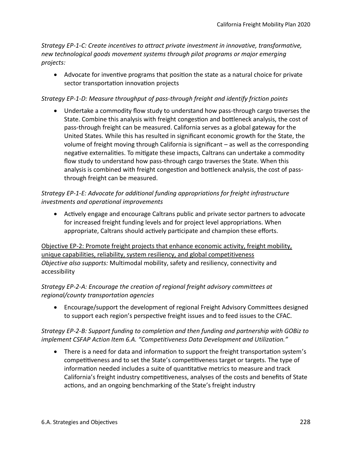*Strategy EP-1-C: Create incentives to attract private investment in innovative, transformative, new technological goods movement systems through pilot programs or major emerging projects:* 

• Advocate for inventve programs that positon the state as a natural choice for private sector transportation innovation projects

#### *Strategy EP-1-D: Measure throughput of pass-through freight and identify friction points*

• Undertake a commodity flow study to understand how pass-through cargo traverses the State. Combine this analysis with freight congeston and botleneck analysis, the cost of pass-through freight can be measured. California serves as a global gateway for the United States. While this has resulted in signifcant economic growth for the State, the volume of freight moving through California is signifcant – as well as the corresponding negative externalities. To mitigate these impacts, Caltrans can undertake a commodity fow study to understand how pass-through cargo traverses the State. When this analysis is combined with freight congeston and botleneck analysis, the cost of passthrough freight can be measured.

### *Strategy EP-1-E: Advocate for additional funding appropriations for freight infrastructure investments and operational improvements*

• Actively engage and encourage Caltrans public and private sector partners to advocate for increased freight funding levels and for project level appropriatons. When appropriate, Caltrans should actively participate and champion these efforts.

Objective EP-2: Promote freight projects that enhance economic activity, freight mobility, unique capabilities, reliability, system resiliency, and global competitiveness *Objective also supports:* Multimodal mobility, safety and resiliency, connectivity and accessibility

#### *Strategy EP-2-A: Encourage the creation of regional freight advisory committees at regional/county transportation agencies*

• Encourage/support the development of regional Freight Advisory Commitees designed to support each region's perspective freight issues and to feed issues to the CFAC.

#### *Strategy EP-2-B: Support funding to completion and then funding and partnership with GOBiz to implement CSFAP Action Item 6.A. "Competitiveness Data Development and Utilization."*

• There is a need for data and information to support the freight transportation system's competitiveness and to set the State's competitiveness target or targets. The type of information needed includes a suite of quantitative metrics to measure and track California's freight industry competitiveness, analyses of the costs and benefits of State actions, and an ongoing benchmarking of the State's freight industry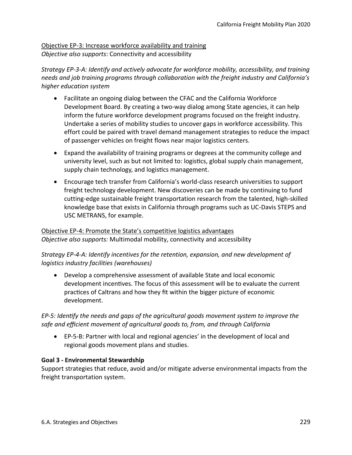# Objective EP-3: Increase workforce availability and training

*Objective also supports*: Connectivity and accessibility

*Strategy EP-3-A: Identify and actively advocate for workforce mobility, accessibility, and training needs and job training programs through collaboration with the freight industry and California's higher education system* 

- Facilitate an ongoing dialog between the CFAC and the California Workforce Development Board. By creating a two-way dialog among State agencies, it can help inform the future workforce development programs focused on the freight industry. Undertake a series of mobility studies to uncover gaps in workforce accessibility. This effort could be paired with travel demand management strategies to reduce the impact of passenger vehicles on freight flows near major logistics centers.
- Expand the availability of training programs or degrees at the community college and university level, such as but not limited to: logistics, global supply chain management, supply chain technology, and logistics management.
- Encourage tech transfer from California's world-class research universities to support freight technology development. New discoveries can be made by continuing to fund cutting-edge sustainable freight transportation research from the talented, high-skilled knowledge base that exists in California through programs such as UC-Davis STEPS and USC METRANS, for example.

Objective EP-4: Promote the State's competitive logistics advantages *Objective also supports:* Multimodal mobility, connectivity and accessibility

#### *Strategy EP-4-A: Identify incentives for the retention, expansion, and new development of logistics industry facilities (warehouses)*

• Develop a comprehensive assessment of available State and local economic development incentves. The focus of this assessment will be to evaluate the current practices of Caltrans and how they fit within the bigger picture of economic development.

# *EP-5: Identfy the needs and gaps of the agricultural goods movement system to improve the*  safe and efficient movement of agricultural goods to, from, and through California

• EP-5-B: Partner with local and regional agencies' in the development of local and regional goods movement plans and studies.

#### **Goal 3 - Environmental Stewardship**

Support strategies that reduce, avoid and/or mitigate adverse environmental impacts from the freight transportation system.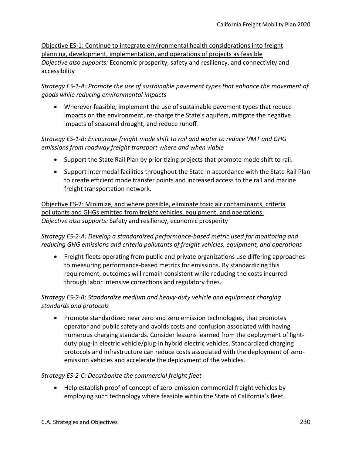Objective ES-1: Continue to integrate environmental health considerations into freight planning, development, implementation, and operations of projects as feasible *Objective also supports:* Economic prosperity, safety and resiliency, and connectivity and accessibility

*Strategy ES-1-A: Promote the use of sustainable pavement types that enhance the movement of goods while reducing environmental impacts* 

• Wherever feasible, implement the use of sustainable pavement types that reduce impacts on the environment, re-charge the State's aquifers, mitgate the negatve impacts of seasonal drought, and reduce runoff.

#### *Strategy ES-1-B: Encourage freight mode shift to rail and water to reduce VMT and GHG emissions from roadway freight transport where and when viable*

- Support the State Rail Plan by prioritizing projects that promote mode shift to rail.
- Support intermodal facilities throughout the State in accordance with the State Rail Plan to create efficient mode transfer points and increased access to the rail and marine freight transportation network.

Objective ES-2: Minimize, and where possible, eliminate toxic air contaminants, criteria pollutants and GHGs emitted from freight vehicles, equipment, and operations. *Objective also supports:* Safety and resiliency, economic prosperity

*Strategy ES-2-A: Develop a standardized performance-based metric used for monitoring and reducing GHG emissions and criteria pollutants of freight vehicles, equipment, and operations* 

• Freight fleets operating from public and private organizations use differing approaches to measuring performance-based metrics for emissions. By standardizing this requirement, outcomes will remain consistent while reducing the costs incurred through labor intensive correctons and regulatory fnes.

*Strategy ES-2-B: Standardize medium and heavy-duty vehicle and equipment charging standards and protocols* 

• Promote standardized near zero and zero emission technologies, that promotes operator and public safety and avoids costs and confusion associated with having numerous charging standards. Consider lessons learned from the deployment of lightduty plug-in electric vehicle/plug-in hybrid electric vehicles. Standardized charging protocols and infrastructure can reduce costs associated with the deployment of zeroemission vehicles and accelerate the deployment of the vehicles.

# *Strategy ES-2-C: Decarbonize the commercial freight fleet*

• Help establish proof of concept of zero-emission commercial freight vehicles by employing such technology where feasible within the State of California's feet.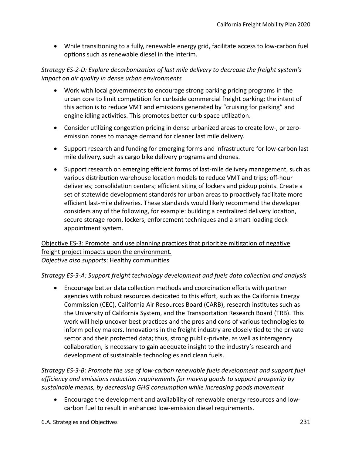• While transitoning to a fully, renewable energy grid, facilitate access to low-carbon fuel options such as renewable diesel in the interim.

#### *Strategy ES-2-D: Explore decarbonization of last mile delivery to decrease the freight system's impact on air quality in dense urban environments*

- Work with local governments to encourage strong parking pricing programs in the urban core to limit competition for curbside commercial freight parking; the intent of this action is to reduce VMT and emissions generated by "cruising for parking" and engine idling activities. This promotes better curb space utilization.
- Consider utilizing congestion pricing in dense urbanized areas to create low-, or zeroemission zones to manage demand for cleaner last mile delivery.
- Support research and funding for emerging forms and infrastructure for low-carbon last mile delivery, such as cargo bike delivery programs and drones.
- Support research on emerging efficient forms of last-mile delivery management, such as various distribution warehouse location models to reduce VMT and trips; off-hour deliveries; consolidation centers; efficient siting of lockers and pickup points. Create a set of statewide development standards for urban areas to proactively facilitate more efficient last-mile deliveries. These standards would likely recommend the developer considers any of the following, for example: building a centralized delivery locaton, secure storage room, lockers, enforcement techniques and a smart loading dock appointment system.

#### Objective ES-3: Promote land use planning practices that prioritize mitigation of negative freight project impacts upon the environment. *Objective also supports*: Healthy communities

#### *Strategy ES-3-A: Support freight technology development and fuels data collection and analysis*

• Encourage better data collection methods and coordination efforts with partner agencies with robust resources dedicated to this effort, such as the California Energy Commission (CEC), California Air Resources Board (CARB), research insttutes such as the University of California System, and the Transportaton Research Board (TRB). This work will help uncover best practices and the pros and cons of various technologies to inform policy makers. Innovations in the freight industry are closely tied to the private sector and their protected data; thus, strong public-private, as well as interagency collaboration, is necessary to gain adequate insight to the industry's research and development of sustainable technologies and clean fuels.

*Strategy ES-3-B: Promote the use of low-carbon renewable fuels development and support fuel efficiency and emissions reduction requirements for moving goods to support prosperity by sustainable means, by decreasing GHG consumption while increasing goods movement* 

• Encourage the development and availability of renewable energy resources and lowcarbon fuel to result in enhanced low-emission diesel requirements.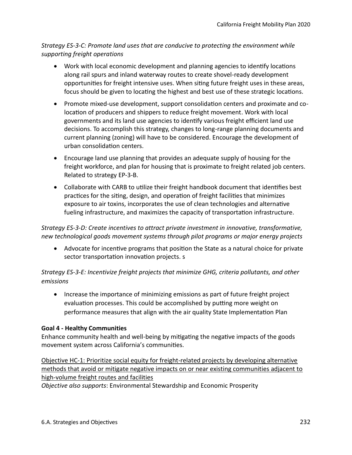*Strategy ES-3-C: Promote land uses that are conducive to protecting the environment while supporting freight operations* 

- Work with local economic development and planning agencies to identify locations along rail spurs and inland waterway routes to create shovel-ready development opportunites for freight intensive uses. When sitng future freight uses in these areas, focus should be given to locating the highest and best use of these strategic locations.
- Promote mixed-use development, support consolidaton centers and proximate and colocation of producers and shippers to reduce freight movement. Work with local governments and its land use agencies to identify various freight efficient land use decisions. To accomplish this strategy, changes to long-range planning documents and current planning (zoning) will have to be considered. Encourage the development of urban consolidation centers.
- Encourage land use planning that provides an adequate supply of housing for the freight workforce, and plan for housing that is proximate to freight related job centers. Related to strategy EP-3-B.
- Collaborate with CARB to utilize their freight handbook document that identifies best practices for the siting, design, and operation of freight facilities that minimizes exposure to air toxins, incorporates the use of clean technologies and alternatve fueling infrastructure, and maximizes the capacity of transportation infrastructure.

*Strategy ES-3-D: Create incentives to attract private investment in innovative, transformative, new technological goods movement systems through pilot programs or major energy projects* 

• Advocate for incentve programs that positon the State as a natural choice for private sector transportation innovation projects. s

*Strategy ES-3-E: Incentivize freight projects that minimize GHG, criteria pollutants, and other emissions* 

• Increase the importance of minimizing emissions as part of future freight project evaluation processes. This could be accomplished by putting more weight on performance measures that align with the air quality State Implementaton Plan

#### **Goal 4 - Healthy Communities**

Enhance community health and well-being by mitgatng the negatve impacts of the goods movement system across California's communites.

Objective HC-1: Prioritize social equity for freight-related projects by developing alternative methods that avoid or mitigate negative impacts on or near existing communities adjacent to high-volume freight routes and facilities

*Objective also supports*: Environmental Stewardship and Economic Prosperity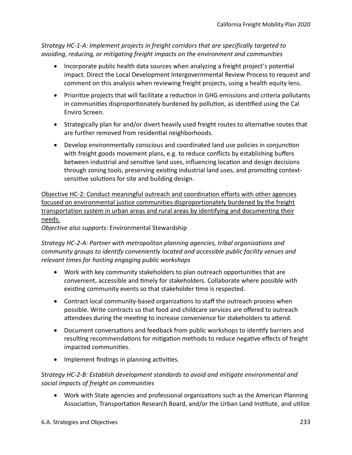*Strategy HC-1-A: Implement projects in freight corridors that are specifically targeted to avoiding, reducing, or mitigating freight impacts on the environment and communities* 

- Incorporate public health data sources when analyzing a freight project's potential impact. Direct the Local Development Intergovernmental Review Process to request and comment on this analysis when reviewing freight projects, using a health equity lens.
- Prioritize projects that will facilitate a reduction in GHG emissions and criteria pollutants in communities disproportionately burdened by pollution, as identified using the Cal Enviro Screen.
- Strategically plan for and/or divert heavily used freight routes to alternative routes that are further removed from residental neighborhoods.
- Develop environmentally conscious and coordinated land use policies in conjunction with freight goods movement plans, e.g. to reduce conflicts by establishing buffers between industrial and sensitve land uses, infuencing locaton and design decisions through zoning tools, preserving existing industrial land uses, and promoting contextsensitive solutions for site and building design.

Objective HC-2: Conduct meaningful outreach and coordination efforts with other agencies focused on environmental justice communities disproportionately burdened by the freight transportation system in urban areas and rural areas by identifying and documenting their needs.

*Objective also supports*: Environmental Stewardship

*Strategy HC-2-A: Partner with metropolitan planning agencies, tribal organizations and community groups to identify conveniently located and accessible public facility venues and relevant times for hosting engaging public workshops* 

- Work with key community stakeholders to plan outreach opportunites that are convenient, accessible and tmely for stakeholders. Collaborate where possible with existing community events so that stakeholder time is respected.
- Contract local community-based organizations to staff the outreach process when possible. Write contracts so that food and childcare services are offered to outreach attendees during the meeting to increase convenience for stakeholders to attend.
- Document conversations and feedback from public workshops to identify barriers and resulting recommendations for mitigation methods to reduce negative effects of freight impacted communites.
- Implement findings in planning activities.

#### *Strategy HC-2-B: Establish development standards to avoid and mitigate environmental and social impacts of freight on communities*

• Work with State agencies and professional organizations such as the American Planning Association, Transportation Research Board, and/or the Urban Land Institute, and utilize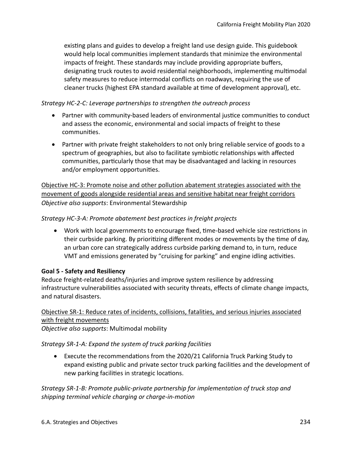existng plans and guides to develop a freight land use design guide. This guidebook would help local communites implement standards that minimize the environmental impacts of freight. These standards may include providing appropriate bufers, designating truck routes to avoid residential neighborhoods, implementing multimodal safety measures to reduce intermodal conficts on roadways, requiring the use of cleaner trucks (highest EPA standard available at tme of development approval), etc.

#### *Strategy HC-2-C: Leverage partnerships to strengthen the outreach process*

- Partner with community-based leaders of environmental justice communities to conduct and assess the economic, environmental and social impacts of freight to these communites.
- Partner with private freight stakeholders to not only bring reliable service of goods to a spectrum of geographies, but also to facilitate symbiotic relationships with affected communities, particularly those that may be disadvantaged and lacking in resources and/or employment opportunites.

Objective HC-3: Promote noise and other pollution abatement strategies associated with the movement of goods alongside residential areas and sensitive habitat near freight corridors *Objective also supports*: Environmental Stewardship

*Strategy HC-3-A: Promote abatement best practices in freight projects* 

• Work with local governments to encourage fixed, time-based vehicle size restrictions in their curbside parking. By prioritzing diferent modes or movements by the tme of day, an urban core can strategically address curbside parking demand to, in turn, reduce VMT and emissions generated by "cruising for parking" and engine idling activities.

#### **Goal 5 - Safety and Resiliency**

Reduce freight-related deaths/injuries and improve system resilience by addressing infrastructure vulnerabilites associated with security threats, efects of climate change impacts, and natural disasters.

#### Objective SR-1: Reduce rates of incidents, collisions, fatalities, and serious injuries associated with freight movements

*Objective also supports*: Multimodal mobility

*Strategy SR-1-A: Expand the system of truck parking facilities* 

• Execute the recommendatons from the 2020/21 California Truck Parking Study to expand existng public and private sector truck parking facilites and the development of new parking facilities in strategic locations.

*Strategy SR-1-B: Promote public-private partnership for implementation of truck stop and shipping terminal vehicle charging or charge-in-motion*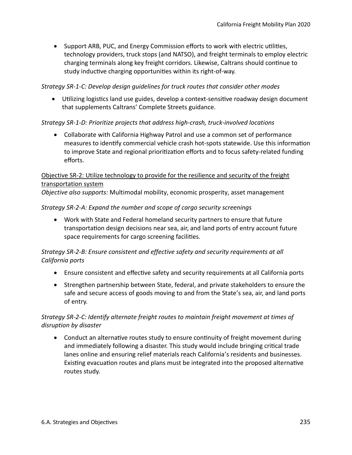• Support ARB, PUC, and Energy Commission efforts to work with electric utilities, technology providers, truck stops (and NATSO), and freight terminals to employ electric charging terminals along key freight corridors. Likewise, Caltrans should contnue to study inductive charging opportunities within its right-of-way.

#### *Strategy SR-1-C: Develop design guidelines for truck routes that consider other modes*

• Utilizing logistics land use guides, develop a context-sensitive roadway design document that supplements Caltrans' Complete Streets guidance.

#### *Strategy SR-1-D: Prioritize projects that address high-crash, truck-involved locations*

• Collaborate with California Highway Patrol and use a common set of performance measures to identfy commercial vehicle crash hot-spots statewide. Use this informaton to improve State and regional prioritization efforts and to focus safety-related funding efforts.

#### Objective SR-2: Utilize technology to provide for the resilience and security of the freight transportation system

*Objective also supports:* Multimodal mobility, economic prosperity, asset management

#### *Strategy SR-2-A: Expand the number and scope of cargo security screenings*

• Work with State and Federal homeland security partners to ensure that future transportation design decisions near sea, air, and land ports of entry account future space requirements for cargo screening facilites.

#### *Strategy SR-2-B: Ensure consistent and effective safety and security requirements at all California ports*

- Ensure consistent and effective safety and security requirements at all California ports
- Strengthen partnership between State, federal, and private stakeholders to ensure the safe and secure access of goods moving to and from the State's sea, air, and land ports of entry.

#### *Strategy SR-2-C: Identify alternate freight routes to maintain freight movement at times of disruption by disaster*

• Conduct an alternative routes study to ensure continuity of freight movement during and immediately following a disaster. This study would include bringing critcal trade lanes online and ensuring relief materials reach California's residents and businesses. Existng evacuaton routes and plans must be integrated into the proposed alternatve routes study.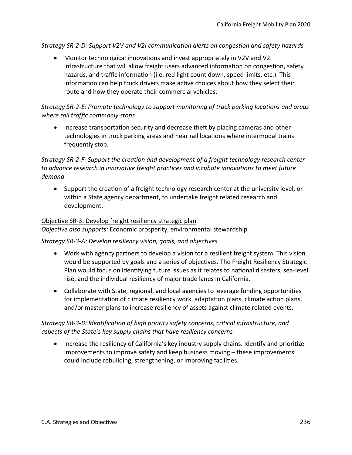*Strategy SR-2-D: Support V2V and V2I communication alerts on congestion and safety hazards* 

• Monitor technological innovatons and invest appropriately in V2V and V2I infrastructure that will allow freight users advanced information on congestion, safety hazards, and traffic information (i.e. red light count down, speed limits, etc.). This information can help truck drivers make active choices about how they select their route and how they operate their commercial vehicles.

### *Strategy SR-2-E: Promote technology to support monitoring of truck parking locations and areas where rail traffic commonly stops*

• Increase transportation security and decrease theft by placing cameras and other technologies in truck parking areas and near rail locatons where intermodal trains frequently stop.

*Strategy SR-2-F: Support the creation and development of a freight technology research center to advance research in innovative freight practices and incubate innovations to meet future demand* 

• Support the creaton of a freight technology research center at the university level, or within a State agency department, to undertake freight related research and development.

#### Objective SR-3: Develop freight resiliency strategic plan

*Objective also supports:* Economic prosperity, environmental stewardship

#### *Strategy SR-3-A: Develop resiliency vision, goals, and objectives*

- Work with agency partners to develop a vision for a resilient freight system. This vision would be supported by goals and a series of objectives. The Freight Resiliency Strategic Plan would focus on identfying future issues as it relates to natonal disasters, sea-level rise, and the individual resiliency of major trade lanes in California.
- Collaborate with State, regional, and local agencies to leverage funding opportunites for implementation of climate resiliency work, adaptation plans, climate action plans, and/or master plans to increase resiliency of assets against climate related events.

#### *Strategy SR-3-B: Identification of high priority safety concerns, critical infrastructure, and aspects of the State's key supply chains that have resiliency concerns*

• Increase the resiliency of California's key industry supply chains. Identify and prioritize improvements to improve safety and keep business moving – these improvements could include rebuilding, strengthening, or improving facilites.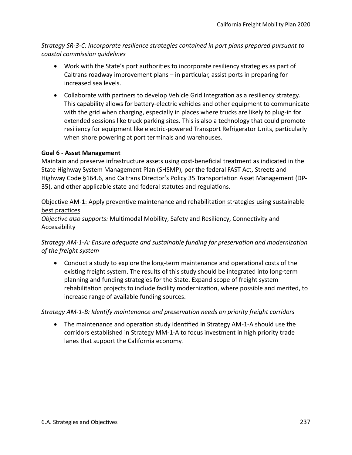*Strategy SR-3-C: Incorporate resilience strategies contained in port plans prepared pursuant to coastal commission guidelines* 

- Work with the State's port authorities to incorporate resiliency strategies as part of Caltrans roadway improvement plans – in partcular, assist ports in preparing for increased sea levels.
- Collaborate with partners to develop Vehicle Grid Integration as a resiliency strategy. This capability allows for batery-electric vehicles and other equipment to communicate with the grid when charging, especially in places where trucks are likely to plug-in for extended sessions like truck parking sites. This is also a technology that could promote resiliency for equipment like electric-powered Transport Refrigerator Units, particularly when shore powering at port terminals and warehouses.

#### **Goal 6 - Asset Management**

Maintain and preserve infrastructure assets using cost-benefcial treatment as indicated in the State Highway System Management Plan (SHSMP), per the federal FAST Act, Streets and Highway Code §164.6, and Caltrans Director's Policy 35 Transportation Asset Management (DP-35), and other applicable state and federal statutes and regulations.

#### Objective AM-1: Apply preventive maintenance and rehabilitation strategies using sustainable best practices

*Objective also supports:* Multimodal Mobility, Safety and Resiliency, Connectivity and Accessibility

#### *Strategy AM-1-A: Ensure adequate and sustainable funding for preservation and modernization of the freight system*

• Conduct a study to explore the long-term maintenance and operational costs of the existng freight system. The results of this study should be integrated into long-term planning and funding strategies for the State. Expand scope of freight system rehabilitaton projects to include facility modernizaton, where possible and merited, to increase range of available funding sources.

#### *Strategy AM-1-B: Identify maintenance and preservation needs on priority freight corridors*

• The maintenance and operation study identified in Strategy AM-1-A should use the corridors established in Strategy MM-1-A to focus investment in high priority trade lanes that support the California economy.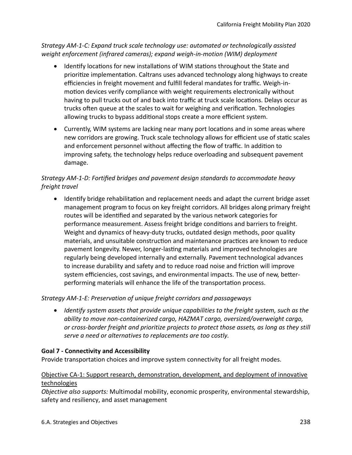*Strategy AM-1-C: Expand truck scale technology use: automated or technologically assisted weight enforcement (infrared cameras); expand weigh-in-motion (WIM) deployment* 

- Identify locations for new installations of WIM stations throughout the State and prioritze implementaton. Caltrans uses advanced technology along highways to create efficiencies in freight movement and fulfill federal mandates for traffic. Weigh-inmotion devices verify compliance with weight requirements electronically without having to pull trucks out of and back into traffic at truck scale locations. Delays occur as trucks often queue at the scales to wait for weighing and verification. Technologies allowing trucks to bypass additional stops create a more efficient system.
- Currently, WIM systems are lacking near many port locatons and in some areas where new corridors are growing. Truck scale technology allows for efficient use of static scales and enforcement personnel without affecting the flow of traffic. In addition to improving safety, the technology helps reduce overloading and subsequent pavement damage.

# *Strategy AM-1-D: Fortified bridges and pavement design standards to accommodate heavy freight travel*

• Identify bridge rehabilitation and replacement needs and adapt the current bridge asset management program to focus on key freight corridors. All bridges along primary freight routes will be identified and separated by the various network categories for performance measurement. Assess freight bridge conditons and barriers to freight. Weight and dynamics of heavy-duty trucks, outdated design methods, poor quality materials, and unsuitable construction and maintenance practices are known to reduce pavement longevity. Newer, longer-lastng materials and improved technologies are regularly being developed internally and externally. Pavement technological advances to increase durability and safety and to reduce road noise and fricton will improve system efficiencies, cost savings, and environmental impacts. The use of new, betterperforming materials will enhance the life of the transportaton process.

#### *Strategy AM-1-E: Preservation of unique freight corridors and passageways*

• *Identify system assets that provide unique capabilities to the freight system, such as the ability to move non-containerized cargo, HAZMAT cargo, oversized/overweight cargo, or cross-border freight and prioritize projects to protect those assets, as long as they still serve a need or alternatives to replacements are too costly.* 

#### **Goal 7 - Connectivity and Accessibility**

Provide transportation choices and improve system connectivity for all freight modes.

#### Objective CA-1: Support research, demonstration, development, and deployment of innovative technologies

*Objective also supports:* Multimodal mobility, economic prosperity, environmental stewardship, safety and resiliency, and asset management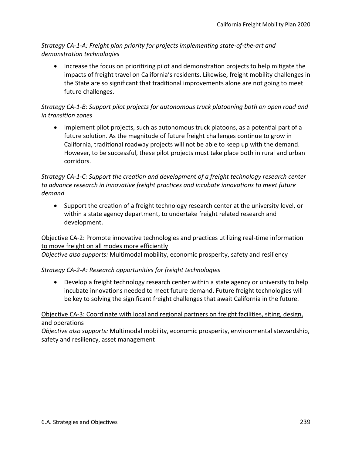*Strategy CA-1-A: Freight plan priority for projects implementing state-of-the-art and demonstration technologies* 

• Increase the focus on prioritizing pilot and demonstration projects to help mitigate the impacts of freight travel on California's residents. Likewise, freight mobility challenges in the State are so signifcant that traditonal improvements alone are not going to meet future challenges.

# *Strategy CA-1-B: Support pilot projects for autonomous truck platooning both on open road and in transition zones*

• Implement pilot projects, such as autonomous truck platoons, as a potential part of a future solution. As the magnitude of future freight challenges continue to grow in California, traditonal roadway projects will not be able to keep up with the demand. However, to be successful, these pilot projects must take place both in rural and urban corridors.

### *Strategy CA-1-C: Support the creation and development of a freight technology research center to advance research in innovative freight practices and incubate innovations to meet future demand*

• Support the creaton of a freight technology research center at the university level, or within a state agency department, to undertake freight related research and development.

#### Objective CA-2: Promote innovative technologies and practices utilizing real-time information to move freight on all modes more efficiently

*Objective also supports:* Multimodal mobility, economic prosperity, safety and resiliency

#### *Strategy CA-2-A: Research opportunities for freight technologies*

• Develop a freight technology research center within a state agency or university to help incubate innovations needed to meet future demand. Future freight technologies will be key to solving the signifcant freight challenges that await California in the future.

#### Objective CA-3: Coordinate with local and regional partners on freight facilities, siting, design, and operations

*Objective also supports:* Multimodal mobility, economic prosperity, environmental stewardship, safety and resiliency, asset management